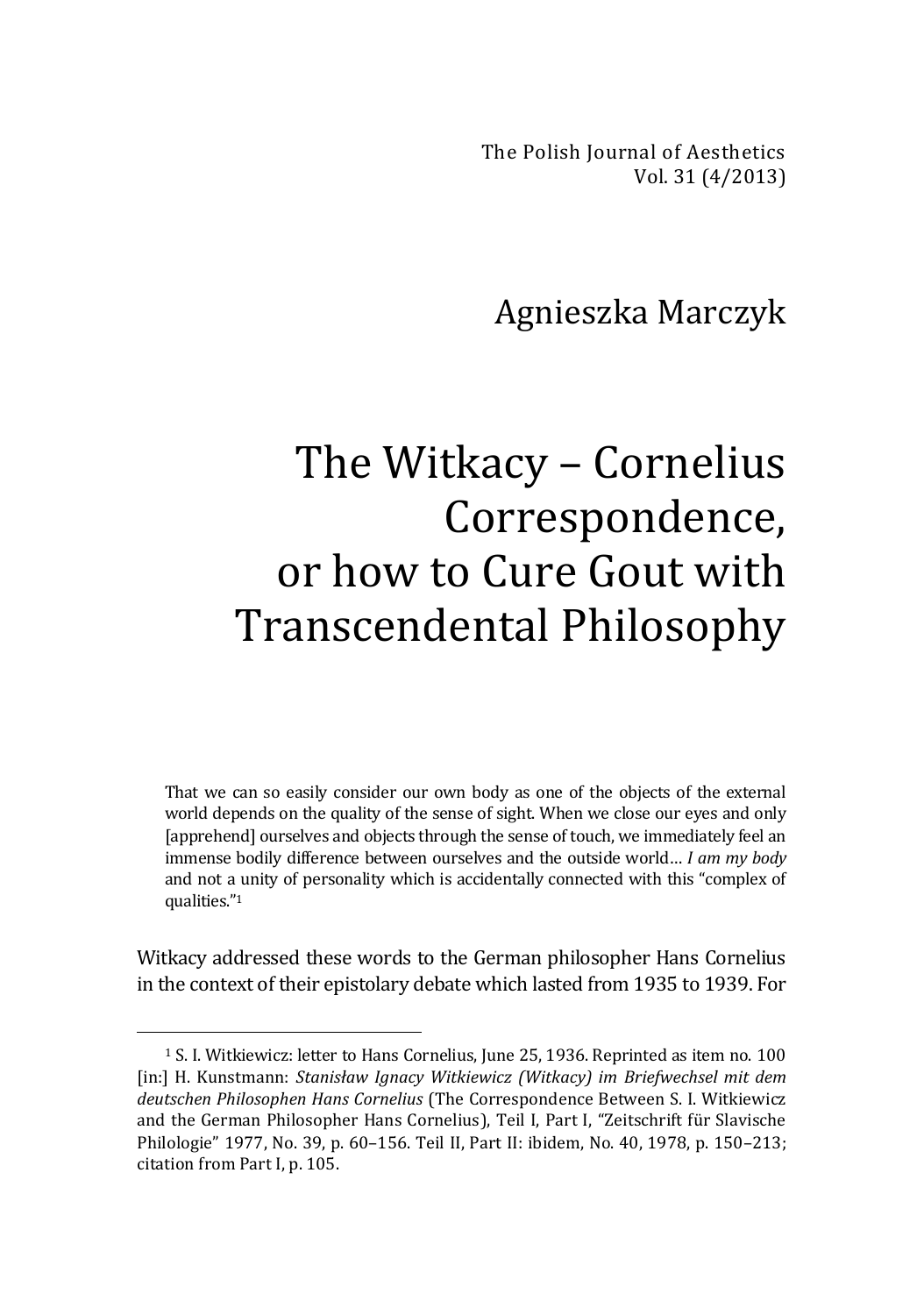The Polish Journal of Aesthetics Vol. 31 (4/2013)

## Agnieszka Marczyk

## The Witkacy – Cornelius Correspondence, or how to Cure Gout with Transcendental Philosophy

That we can so easily consider our own body as one of the objects of the external world depends on the quality of the sense of sight. When we close our eyes and only [apprehend] ourselves and objects through the sense of touch, we immediately feel an immense bodily difference between ourselves and the outside world… *I am my body* and not a unity of personality which is accidentally connected with this "complex of qualities." 1

Witkacy addressed these words to the German philosopher Hans Cornelius in the context of their epistolary debate which lasted from 1935 to 1939. For

<sup>1</sup> S. I. Witkiewicz: letter to Hans Cornelius, June 25, 1936. Reprinted as item no. 100 [in:] H. Kunstmann: *Stanisław Ignacy Witkiewicz (Witkacy) im Briefwechsel mit dem deutschen Philosophen Hans Cornelius* (The Correspondence Between S. I. Witkiewicz and the German Philosopher Hans Cornelius), Teil I, Part I, "Zeitschrift für Slavische Philologie" 1977, No. 39, p. 60–156. Teil II, Part II: ibidem, No. 40, 1978, p. 150–213; citation from Part I, p. 105.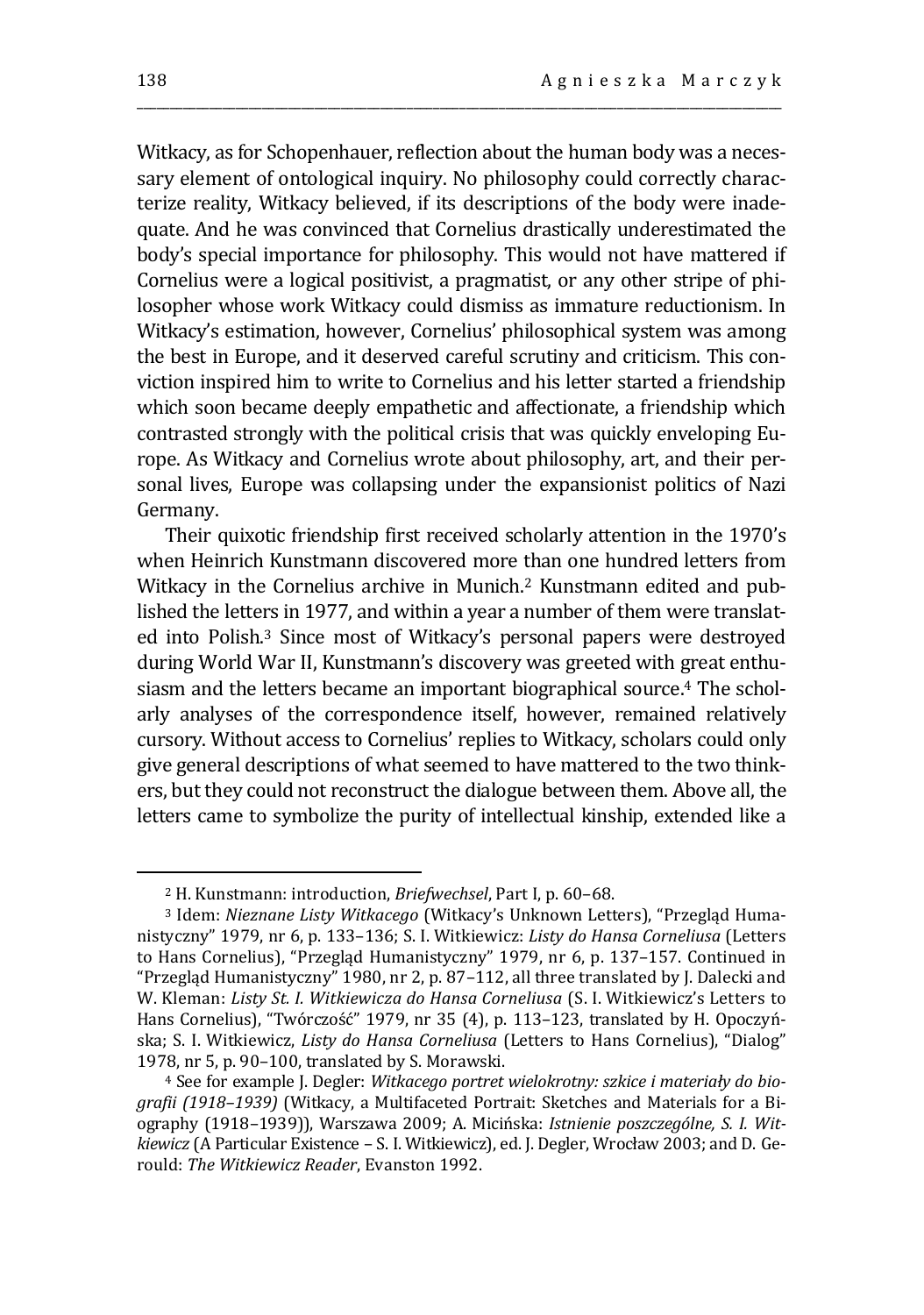Witkacy, as for Schopenhauer, reflection about the human body was a necessary element of ontological inquiry. No philosophy could correctly characterize reality, Witkacy believed, if its descriptions of the body were inadequate. And he was convinced that Cornelius drastically underestimated the body's special importance for philosophy. This would not have mattered if Cornelius were a logical positivist, a pragmatist, or any other stripe of philosopher whose work Witkacy could dismiss as immature reductionism. In Witkacy's estimation, however, Cornelius' philosophical system was among the best in Europe, and it deserved careful scrutiny and criticism. This conviction inspired him to write to Cornelius and his letter started a friendship which soon became deeply empathetic and affectionate, a friendship which contrasted strongly with the political crisis that was quickly enveloping Europe. As Witkacy and Cornelius wrote about philosophy, art, and their personal lives, Europe was collapsing under the expansionist politics of Nazi Germany.

\_\_\_\_\_\_\_\_\_\_\_\_\_\_\_\_\_\_\_\_\_\_\_\_\_\_\_\_\_\_\_\_\_\_\_\_\_\_\_\_\_\_\_\_\_\_\_\_\_\_\_\_\_\_\_\_\_\_\_\_\_\_\_\_\_\_\_\_\_\_\_\_\_\_\_\_\_\_\_\_\_\_\_\_\_\_\_\_\_\_\_\_\_\_\_\_\_\_

Their quixotic friendship first received scholarly attention in the 1970's when Heinrich Kunstmann discovered more than one hundred letters from Witkacy in the Cornelius archive in Munich.<sup>2</sup> Kunstmann edited and published the letters in 1977, and within a year a number of them were translated into Polish.<sup>3</sup> Since most of Witkacy's personal papers were destroyed during World War II, Kunstmann's discovery was greeted with great enthusiasm and the letters became an important biographical source.<sup>4</sup> The scholarly analyses of the correspondence itself, however, remained relatively cursory. Without access to Cornelius' replies to Witkacy, scholars could only give general descriptions of what seemed to have mattered to the two thinkers, but they could not reconstruct the dialogue between them. Above all, the letters came to symbolize the purity of intellectual kinship, extended like a

<sup>2</sup> H. Kunstmann: introduction, *Briefwechsel*, Part I, p. 60–68.

<sup>3</sup> Idem: *Nieznane Listy Witkacego* (Witkacy's Unknown Letters), "Przegląd Humanistyczny" 1979, nr 6, p. 133–136; S. I. Witkiewicz: *Listy do Hansa Corneliusa* (Letters to Hans Cornelius), "Przegląd Humanistyczny" 1979, nr 6, p. 137–157. Continued in "Przegląd Humanistyczny" 1980, nr 2, p. 87–112, all three translated by J. Dalecki and W. Kleman: *Listy St. I. Witkiewicza do Hansa Corneliusa* (S. I. Witkiewicz's Letters to Hans Cornelius), "Twórczość" 1979, nr 35 (4), p. 113–123, translated by H. Opoczyńska; S. I. Witkiewicz, *Listy do Hansa Corneliusa* (Letters to Hans Cornelius), "Dialog" 1978, nr 5, p. 90–100, translated by S. Morawski.

<sup>4</sup> See for example J. Degler: *Witkacego portret wielokrotny: szkice i materiały do biografii (1918–1939)* (Witkacy, a Multifaceted Portrait: Sketches and Materials for a Biography (1918–1939)), Warszawa 2009; A. Micińska: *Istnienie poszczególne, S. I. Witkiewicz* (A Particular Existence – S. I. Witkiewicz), ed. J. Degler, Wrocław 2003; and D. Gerould: *The Witkiewicz Reader*, Evanston 1992.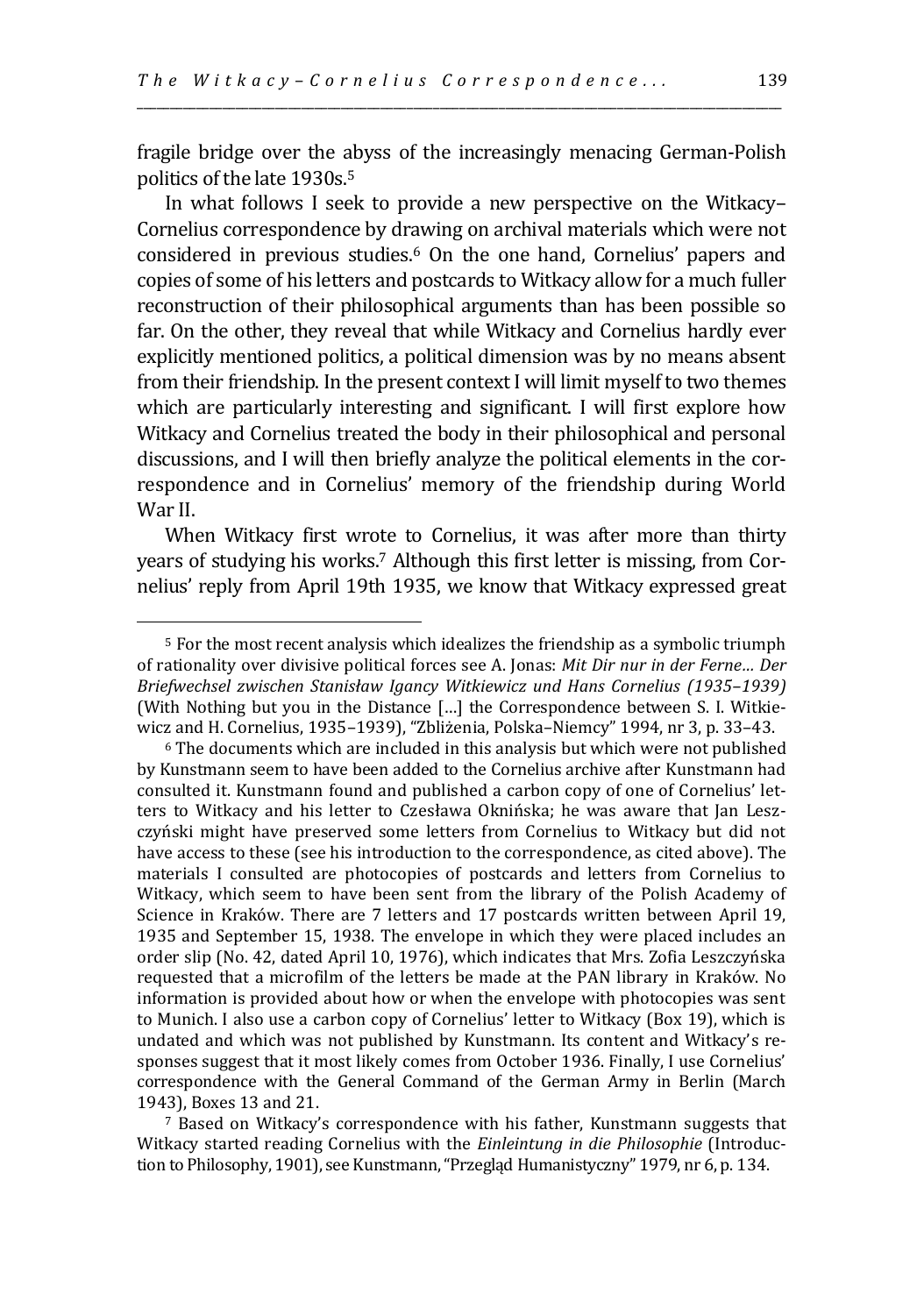fragile bridge over the abyss of the increasingly menacing German-Polish politics of the late 1930s.<sup>5</sup>

\_\_\_\_\_\_\_\_\_\_\_\_\_\_\_\_\_\_\_\_\_\_\_\_\_\_\_\_\_\_\_\_\_\_\_\_\_\_\_\_\_\_\_\_\_\_\_\_\_\_\_\_\_\_\_\_\_\_\_\_\_\_\_\_\_\_\_\_\_\_\_\_\_\_\_\_\_\_\_\_\_\_\_\_\_\_\_\_\_\_\_\_\_\_\_\_\_\_

In what follows I seek to provide a new perspective on the Witkacy– Cornelius correspondence by drawing on archival materials which were not considered in previous studies.<sup>6</sup> On the one hand, Cornelius' papers and copies of some of his letters and postcards to Witkacy allow for a much fuller reconstruction of their philosophical arguments than has been possible so far. On the other, they reveal that while Witkacy and Cornelius hardly ever explicitly mentioned politics, a political dimension was by no means absent from their friendship. In the present context I will limit myself to two themes which are particularly interesting and significant. I will first explore how Witkacy and Cornelius treated the body in their philosophical and personal discussions, and I will then briefly analyze the political elements in the correspondence and in Cornelius' memory of the friendship during World War II.

When Witkacy first wrote to Cornelius, it was after more than thirty years of studying his works.<sup>7</sup> Although this first letter is missing, from Cornelius' reply from April 19th 1935, we know that Witkacy expressed great

<sup>5</sup> For the most recent analysis which idealizes the friendship as a symbolic triumph of rationality over divisive political forces see A. Jonas: *Mit Dir nur in der Ferne… Der Briefwechsel zwischen Stanisław Igancy Witkiewicz und Hans Cornelius (1935–1939)* (With Nothing but you in the Distance […] the Correspondence between S. I. Witkiewicz and H. Cornelius, 1935–1939), "Zbliżenia, Polska–Niemcy" 1994, nr 3, p. 33–43.

<sup>6</sup> The documents which are included in this analysis but which were not published by Kunstmann seem to have been added to the Cornelius archive after Kunstmann had consulted it. Kunstmann found and published a carbon copy of one of Cornelius' letters to Witkacy and his letter to Czesława Oknińska; he was aware that Jan Leszczyński might have preserved some letters from Cornelius to Witkacy but did not have access to these (see his introduction to the correspondence, as cited above). The materials I consulted are photocopies of postcards and letters from Cornelius to Witkacy, which seem to have been sent from the library of the Polish Academy of Science in Kraków. There are 7 letters and 17 postcards written between April 19, 1935 and September 15, 1938. The envelope in which they were placed includes an order slip (No. 42, dated April 10, 1976), which indicates that Mrs. Zofia Leszczyńska requested that a microfilm of the letters be made at the PAN library in Kraków. No information is provided about how or when the envelope with photocopies was sent to Munich. I also use a carbon copy of Cornelius' letter to Witkacy (Box 19), which is undated and which was not published by Kunstmann. Its content and Witkacy's responses suggest that it most likely comes from October 1936. Finally, I use Cornelius' correspondence with the General Command of the German Army in Berlin (March 1943), Boxes 13 and 21.

<sup>7</sup> Based on Witkacy's correspondence with his father, Kunstmann suggests that Witkacy started reading Cornelius with the *Einleintung in die Philosophie* (Introduction to Philosophy, 1901), see Kunstmann, "Przegląd Humanistyczny" 1979, nr 6, p. 134.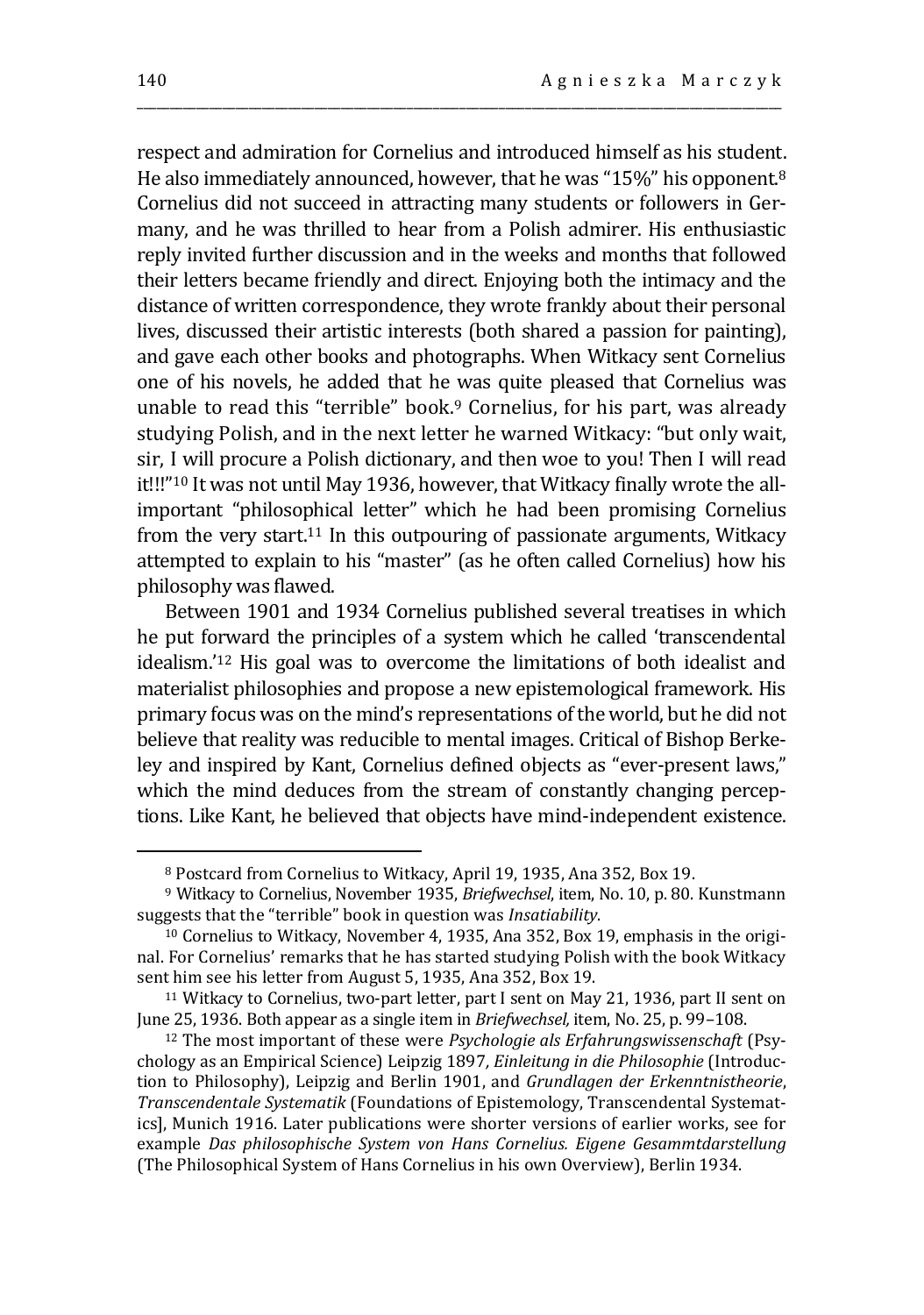respect and admiration for Cornelius and introduced himself as his student. He also immediately announced, however, that he was "15%" his opponent.<sup>8</sup> Cornelius did not succeed in attracting many students or followers in Germany, and he was thrilled to hear from a Polish admirer. His enthusiastic reply invited further discussion and in the weeks and months that followed their letters became friendly and direct. Enjoying both the intimacy and the distance of written correspondence, they wrote frankly about their personal lives, discussed their artistic interests (both shared a passion for painting), and gave each other books and photographs. When Witkacy sent Cornelius one of his novels, he added that he was quite pleased that Cornelius was unable to read this "terrible" book.<sup>9</sup> Cornelius, for his part, was already studying Polish, and in the next letter he warned Witkacy: "but only wait, sir, I will procure a Polish dictionary, and then woe to you! Then I will read it!!!"<sup>10</sup> It was not until May 1936, however, that Witkacy finally wrote the allimportant "philosophical letter" which he had been promising Cornelius from the very start.<sup>11</sup> In this outpouring of passionate arguments, Witkacy attempted to explain to his "master" (as he often called Cornelius) how his philosophy was flawed.

\_\_\_\_\_\_\_\_\_\_\_\_\_\_\_\_\_\_\_\_\_\_\_\_\_\_\_\_\_\_\_\_\_\_\_\_\_\_\_\_\_\_\_\_\_\_\_\_\_\_\_\_\_\_\_\_\_\_\_\_\_\_\_\_\_\_\_\_\_\_\_\_\_\_\_\_\_\_\_\_\_\_\_\_\_\_\_\_\_\_\_\_\_\_\_\_\_\_

Between 1901 and 1934 Cornelius published several treatises in which he put forward the principles of a system which he called 'transcendental idealism.'<sup>12</sup> His goal was to overcome the limitations of both idealist and materialist philosophies and propose a new epistemological framework. His primary focus was on the mind's representations of the world, but he did not believe that reality was reducible to mental images. Critical of Bishop Berkeley and inspired by Kant, Cornelius defined objects as "ever-present laws," which the mind deduces from the stream of constantly changing perceptions. Like Kant, he believed that objects have mind-independent existence.

<sup>8</sup> Postcard from Cornelius to Witkacy, April 19, 1935, Ana 352, Box 19.

<sup>9</sup> Witkacy to Cornelius, November 1935, *Briefwechsel*, item, No. 10, p. 80. Kunstmann suggests that the "terrible" book in question was *Insatiability*.

<sup>10</sup> Cornelius to Witkacy, November 4, 1935, Ana 352, Box 19, emphasis in the original. For Cornelius' remarks that he has started studying Polish with the book Witkacy sent him see his letter from August 5, 1935, Ana 352, Box 19.

<sup>11</sup> Witkacy to Cornelius, two-part letter, part I sent on May 21, 1936, part II sent on June 25, 1936. Both appear as a single item in *Briefwechsel,* item, No. 25, p. 99–108.

<sup>12</sup> The most important of these were *Psychologie als Erfahrungswissenschaft* (Psychology as an Empirical Science) Leipzig 1897*, Einleitung in die Philosophie* (Introduction to Philosophy), Leipzig and Berlin 1901, and *Grundlagen der Erkenntnistheorie*, *Transcendentale Systematik* (Foundations of Epistemology, Transcendental Systematics], Munich 1916. Later publications were shorter versions of earlier works, see for example *Das philosophische System von Hans Cornelius. Eigene Gesammtdarstellung* (The Philosophical System of Hans Cornelius in his own Overview), Berlin 1934.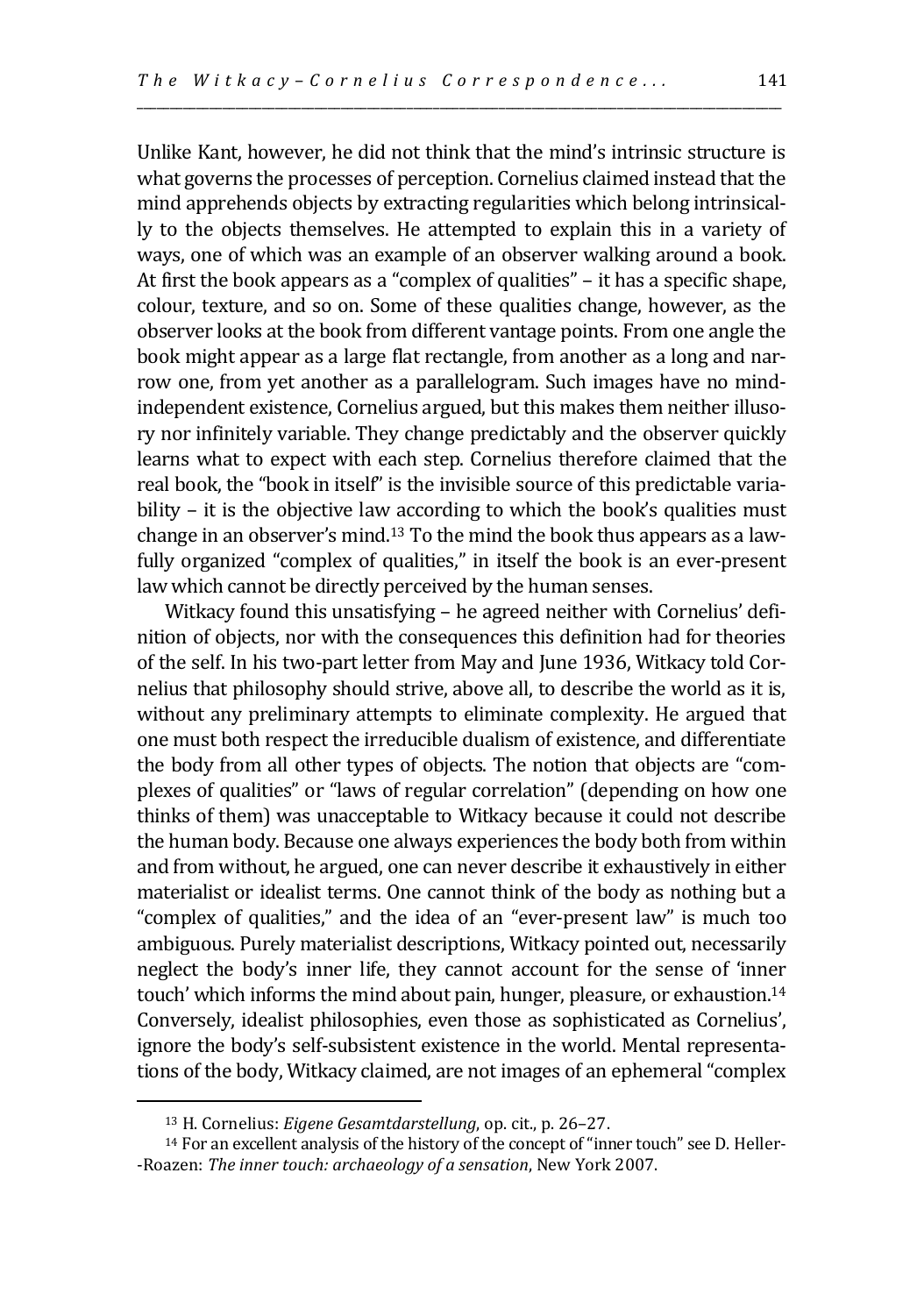Unlike Kant, however, he did not think that the mind's intrinsic structure is what governs the processes of perception. Cornelius claimed instead that the mind apprehends objects by extracting regularities which belong intrinsically to the objects themselves. He attempted to explain this in a variety of ways, one of which was an example of an observer walking around a book. At first the book appears as a "complex of qualities" – it has a specific shape, colour, texture, and so on. Some of these qualities change, however, as the observer looks at the book from different vantage points. From one angle the book might appear as a large flat rectangle, from another as a long and narrow one, from yet another as a parallelogram. Such images have no mindindependent existence, Cornelius argued, but this makes them neither illusory nor infinitely variable. They change predictably and the observer quickly learns what to expect with each step. Cornelius therefore claimed that the real book, the "book in itself" is the invisible source of this predictable variability – it is the objective law according to which the book's qualities must change in an observer's mind.<sup>13</sup> To the mind the book thus appears as a lawfully organized "complex of qualities," in itself the book is an ever-present law which cannot be directly perceived by the human senses.

\_\_\_\_\_\_\_\_\_\_\_\_\_\_\_\_\_\_\_\_\_\_\_\_\_\_\_\_\_\_\_\_\_\_\_\_\_\_\_\_\_\_\_\_\_\_\_\_\_\_\_\_\_\_\_\_\_\_\_\_\_\_\_\_\_\_\_\_\_\_\_\_\_\_\_\_\_\_\_\_\_\_\_\_\_\_\_\_\_\_\_\_\_\_\_\_\_\_

Witkacy found this unsatisfying – he agreed neither with Cornelius' definition of objects, nor with the consequences this definition had for theories of the self. In his two-part letter from May and June 1936, Witkacy told Cornelius that philosophy should strive, above all, to describe the world as it is, without any preliminary attempts to eliminate complexity. He argued that one must both respect the irreducible dualism of existence, and differentiate the body from all other types of objects. The notion that objects are "complexes of qualities" or "laws of regular correlation" (depending on how one thinks of them) was unacceptable to Witkacy because it could not describe the human body. Because one always experiences the body both from within and from without, he argued, one can never describe it exhaustively in either materialist or idealist terms. One cannot think of the body as nothing but a "complex of qualities," and the idea of an "ever-present law" is much too ambiguous. Purely materialist descriptions, Witkacy pointed out, necessarily neglect the body's inner life, they cannot account for the sense of 'inner touch' which informs the mind about pain, hunger, pleasure, or exhaustion.<sup>14</sup> Conversely, idealist philosophies, even those as sophisticated as Cornelius', ignore the body's self-subsistent existence in the world. Mental representations of the body, Witkacy claimed, are not images of an ephemeral "complex

<sup>13</sup> H. Cornelius: *Eigene Gesamtdarstellung*, op. cit., p. 26–27.

<sup>14</sup> For an excellent analysis of the history of the concept of "inner touch" see D. Heller- -Roazen: *The inner touch: archaeology of a sensation*, New York 2007.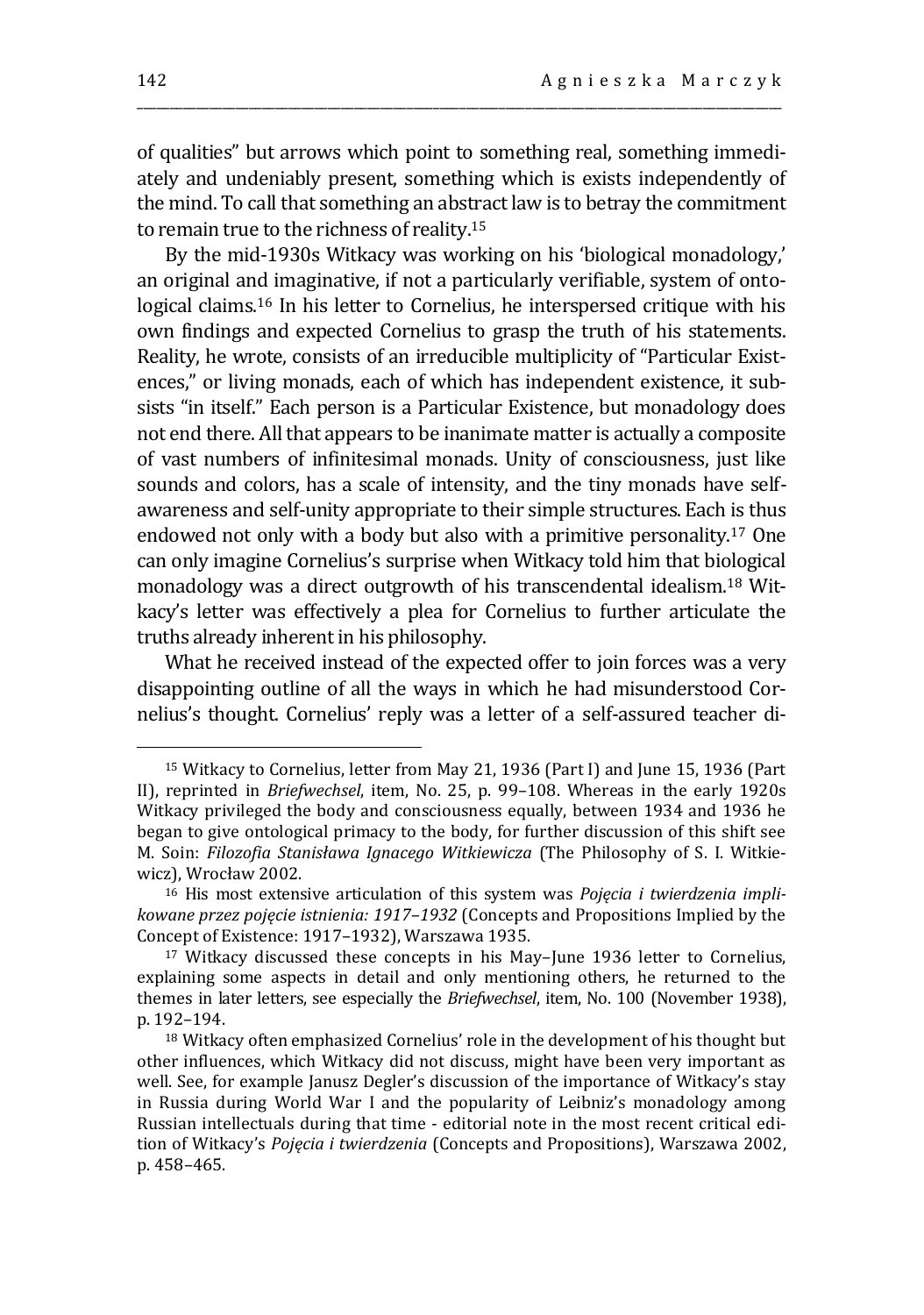of qualities" but arrows which point to something real, something immediately and undeniably present, something which is exists independently of the mind. To call that something an abstract law is to betray the commitment to remain true to the richness of reality.<sup>15</sup>

\_\_\_\_\_\_\_\_\_\_\_\_\_\_\_\_\_\_\_\_\_\_\_\_\_\_\_\_\_\_\_\_\_\_\_\_\_\_\_\_\_\_\_\_\_\_\_\_\_\_\_\_\_\_\_\_\_\_\_\_\_\_\_\_\_\_\_\_\_\_\_\_\_\_\_\_\_\_\_\_\_\_\_\_\_\_\_\_\_\_\_\_\_\_\_\_\_\_

By the mid-1930s Witkacy was working on his 'biological monadology,' an original and imaginative, if not a particularly verifiable, system of ontological claims.<sup>16</sup> In his letter to Cornelius, he interspersed critique with his own findings and expected Cornelius to grasp the truth of his statements. Reality, he wrote, consists of an irreducible multiplicity of "Particular Existences," or living monads, each of which has independent existence, it subsists "in itself." Each person is a Particular Existence, but monadology does not end there. All that appears to be inanimate matter is actually a composite of vast numbers of infinitesimal monads. Unity of consciousness, just like sounds and colors, has a scale of intensity, and the tiny monads have selfawareness and self-unity appropriate to their simple structures. Each is thus endowed not only with a body but also with a primitive personality.<sup>17</sup> One can only imagine Cornelius's surprise when Witkacy told him that biological monadology was a direct outgrowth of his transcendental idealism.<sup>18</sup> Witkacy's letter was effectively a plea for Cornelius to further articulate the truths already inherent in his philosophy.

What he received instead of the expected offer to join forces was a very disappointing outline of all the ways in which he had misunderstood Cornelius's thought. Cornelius' reply was a letter of a self-assured teacher di-

<sup>15</sup> Witkacy to Cornelius, letter from May 21, 1936 (Part I) and June 15, 1936 (Part II), reprinted in *Briefwechsel*, item, No. 25, p. 99–108. Whereas in the early 1920s Witkacy privileged the body and consciousness equally, between 1934 and 1936 he began to give ontological primacy to the body, for further discussion of this shift see M. Soin: *Filozofia Stanisława Ignacego Witkiewicza* (The Philosophy of S. I. Witkiewicz), Wrocław 2002.

<sup>16</sup> His most extensive articulation of this system was *Pojęcia i twierdzenia implikowane przez pojęcie istnienia: 1917–1932* (Concepts and Propositions Implied by the Concept of Existence: 1917–1932), Warszawa 1935.

<sup>17</sup> Witkacy discussed these concepts in his May–June 1936 letter to Cornelius, explaining some aspects in detail and only mentioning others, he returned to the themes in later letters, see especially the *Briefwechsel*, item, No. 100 (November 1938), p. 192–194.

<sup>&</sup>lt;sup>18</sup> Witkacy often emphasized Cornelius' role in the development of his thought but other influences, which Witkacy did not discuss, might have been very important as well. See, for example Janusz Degler's discussion of the importance of Witkacy's stay in Russia during World War I and the popularity of Leibniz's monadology among Russian intellectuals during that time - editorial note in the most recent critical edition of Witkacy's *Pojęcia i twierdzenia* (Concepts and Propositions), Warszawa 2002, p. 458–465.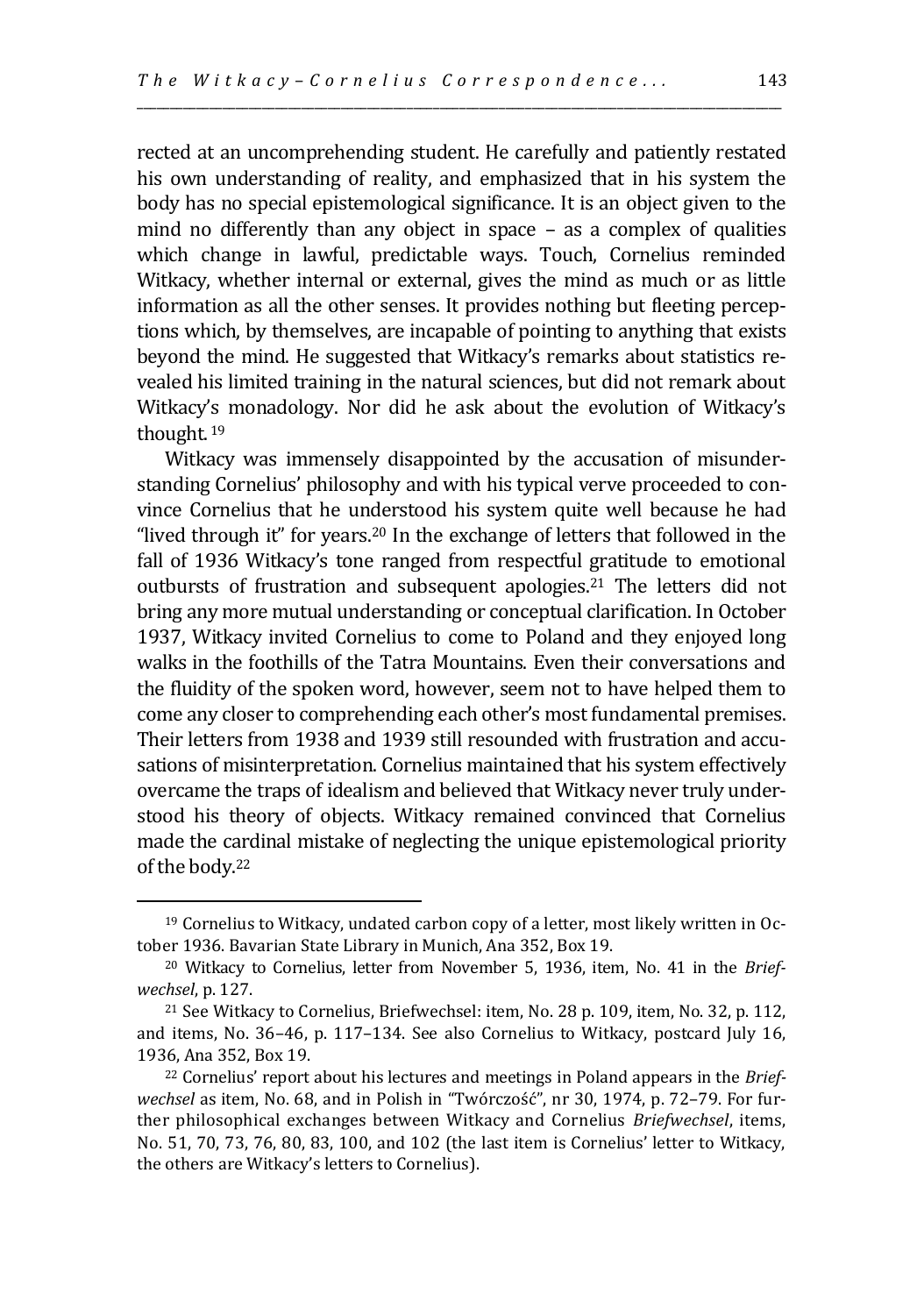rected at an uncomprehending student. He carefully and patiently restated his own understanding of reality, and emphasized that in his system the body has no special epistemological significance. It is an object given to the mind no differently than any object in space – as a complex of qualities which change in lawful, predictable ways. Touch, Cornelius reminded Witkacy, whether internal or external, gives the mind as much or as little information as all the other senses. It provides nothing but fleeting perceptions which, by themselves, are incapable of pointing to anything that exists beyond the mind. He suggested that Witkacy's remarks about statistics revealed his limited training in the natural sciences, but did not remark about Witkacy's monadology. Nor did he ask about the evolution of Witkacy's thought. <sup>19</sup>

\_\_\_\_\_\_\_\_\_\_\_\_\_\_\_\_\_\_\_\_\_\_\_\_\_\_\_\_\_\_\_\_\_\_\_\_\_\_\_\_\_\_\_\_\_\_\_\_\_\_\_\_\_\_\_\_\_\_\_\_\_\_\_\_\_\_\_\_\_\_\_\_\_\_\_\_\_\_\_\_\_\_\_\_\_\_\_\_\_\_\_\_\_\_\_\_\_\_

Witkacy was immensely disappointed by the accusation of misunderstanding Cornelius' philosophy and with his typical verve proceeded to convince Cornelius that he understood his system quite well because he had "lived through it" for years.<sup>20</sup> In the exchange of letters that followed in the fall of 1936 Witkacy's tone ranged from respectful gratitude to emotional outbursts of frustration and subsequent apologies.<sup>21</sup> The letters did not bring any more mutual understanding or conceptual clarification. In October 1937, Witkacy invited Cornelius to come to Poland and they enjoyed long walks in the foothills of the Tatra Mountains. Even their conversations and the fluidity of the spoken word, however, seem not to have helped them to come any closer to comprehending each other's most fundamental premises. Their letters from 1938 and 1939 still resounded with frustration and accusations of misinterpretation. Cornelius maintained that his system effectively overcame the traps of idealism and believed that Witkacy never truly understood his theory of objects. Witkacy remained convinced that Cornelius made the cardinal mistake of neglecting the unique epistemological priority of the body.<sup>22</sup>

<sup>19</sup> Cornelius to Witkacy, undated carbon copy of a letter, most likely written in October 1936. Bavarian State Library in Munich, Ana 352, Box 19.

<sup>20</sup> Witkacy to Cornelius, letter from November 5, 1936, item, No. 41 in the *Briefwechsel*, p. 127.

<sup>21</sup> See Witkacy to Cornelius, Briefwechsel: item, No. 28 p. 109, item, No. 32, p. 112, and items, No. 36–46, p. 117–134. See also Cornelius to Witkacy, postcard July 16, 1936, Ana 352, Box 19.

<sup>22</sup> Cornelius' report about his lectures and meetings in Poland appears in the *Briefwechsel* as item, No. 68, and in Polish in "Twórczość", nr 30, 1974, p. 72–79. For further philosophical exchanges between Witkacy and Cornelius *Briefwechsel*, items, No. 51, 70, 73, 76, 80, 83, 100, and 102 (the last item is Cornelius' letter to Witkacy, the others are Witkacy's letters to Cornelius).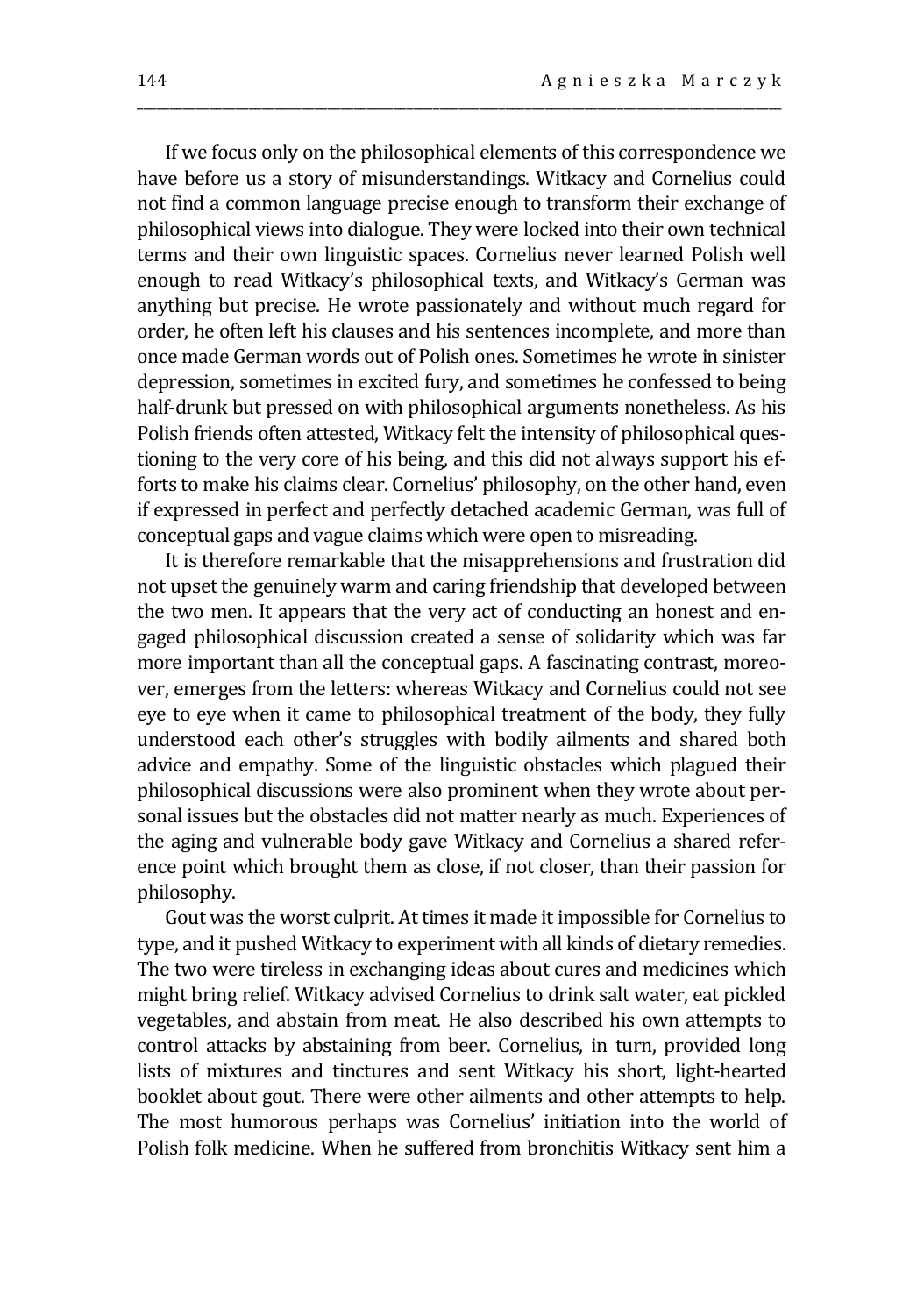If we focus only on the philosophical elements of this correspondence we have before us a story of misunderstandings. Witkacy and Cornelius could not find a common language precise enough to transform their exchange of philosophical views into dialogue. They were locked into their own technical terms and their own linguistic spaces. Cornelius never learned Polish well enough to read Witkacy's philosophical texts, and Witkacy's German was anything but precise. He wrote passionately and without much regard for order, he often left his clauses and his sentences incomplete, and more than once made German words out of Polish ones. Sometimes he wrote in sinister depression, sometimes in excited fury, and sometimes he confessed to being half-drunk but pressed on with philosophical arguments nonetheless. As his Polish friends often attested, Witkacy felt the intensity of philosophical questioning to the very core of his being, and this did not always support his efforts to make his claims clear. Cornelius' philosophy, on the other hand, even if expressed in perfect and perfectly detached academic German, was full of conceptual gaps and vague claims which were open to misreading.

\_\_\_\_\_\_\_\_\_\_\_\_\_\_\_\_\_\_\_\_\_\_\_\_\_\_\_\_\_\_\_\_\_\_\_\_\_\_\_\_\_\_\_\_\_\_\_\_\_\_\_\_\_\_\_\_\_\_\_\_\_\_\_\_\_\_\_\_\_\_\_\_\_\_\_\_\_\_\_\_\_\_\_\_\_\_\_\_\_\_\_\_\_\_\_\_\_\_

It is therefore remarkable that the misapprehensions and frustration did not upset the genuinely warm and caring friendship that developed between the two men. It appears that the very act of conducting an honest and engaged philosophical discussion created a sense of solidarity which was far more important than all the conceptual gaps. A fascinating contrast, moreover, emerges from the letters: whereas Witkacy and Cornelius could not see eye to eye when it came to philosophical treatment of the body, they fully understood each other's struggles with bodily ailments and shared both advice and empathy. Some of the linguistic obstacles which plagued their philosophical discussions were also prominent when they wrote about personal issues but the obstacles did not matter nearly as much. Experiences of the aging and vulnerable body gave Witkacy and Cornelius a shared reference point which brought them as close, if not closer, than their passion for philosophy.

Gout was the worst culprit. At times it made it impossible for Cornelius to type, and it pushed Witkacy to experiment with all kinds of dietary remedies. The two were tireless in exchanging ideas about cures and medicines which might bring relief. Witkacy advised Cornelius to drink salt water, eat pickled vegetables, and abstain from meat. He also described his own attempts to control attacks by abstaining from beer. Cornelius, in turn, provided long lists of mixtures and tinctures and sent Witkacy his short, light-hearted booklet about gout. There were other ailments and other attempts to help. The most humorous perhaps was Cornelius' initiation into the world of Polish folk medicine. When he suffered from bronchitis Witkacy sent him a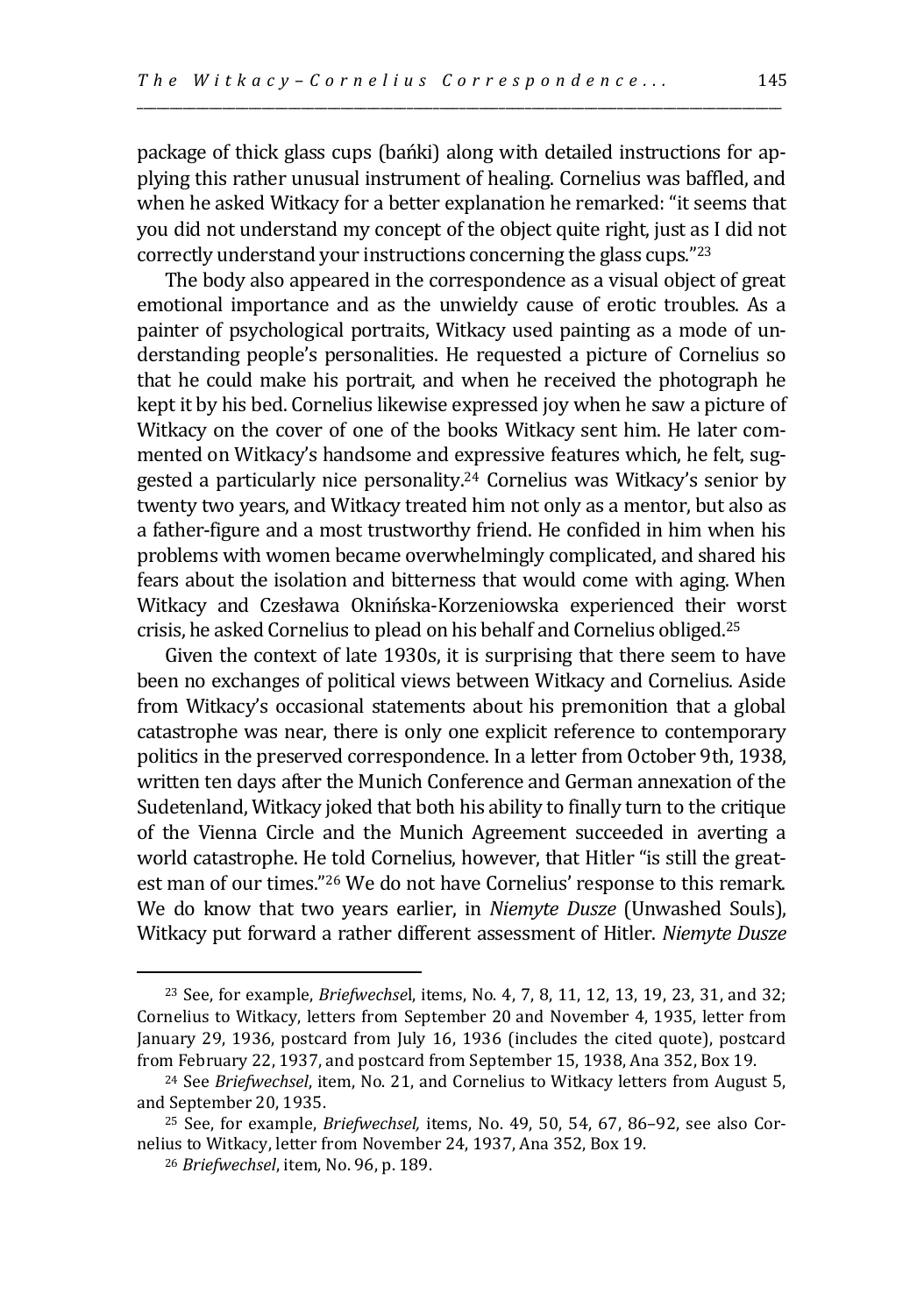package of thick glass cups (bańki) along with detailed instructions for applying this rather unusual instrument of healing. Cornelius was baffled, and when he asked Witkacy for a better explanation he remarked: "it seems that you did not understand my concept of the object quite right, just as I did not correctly understand your instructions concerning the glass cups."<sup>23</sup>

\_\_\_\_\_\_\_\_\_\_\_\_\_\_\_\_\_\_\_\_\_\_\_\_\_\_\_\_\_\_\_\_\_\_\_\_\_\_\_\_\_\_\_\_\_\_\_\_\_\_\_\_\_\_\_\_\_\_\_\_\_\_\_\_\_\_\_\_\_\_\_\_\_\_\_\_\_\_\_\_\_\_\_\_\_\_\_\_\_\_\_\_\_\_\_\_\_\_

The body also appeared in the correspondence as a visual object of great emotional importance and as the unwieldy cause of erotic troubles. As a painter of psychological portraits, Witkacy used painting as a mode of understanding people's personalities. He requested a picture of Cornelius so that he could make his portrait, and when he received the photograph he kept it by his bed. Cornelius likewise expressed joy when he saw a picture of Witkacy on the cover of one of the books Witkacy sent him. He later commented on Witkacy's handsome and expressive features which, he felt, suggested a particularly nice personality.<sup>24</sup> Cornelius was Witkacy's senior by twenty two years, and Witkacy treated him not only as a mentor, but also as a father-figure and a most trustworthy friend. He confided in him when his problems with women became overwhelmingly complicated, and shared his fears about the isolation and bitterness that would come with aging. When Witkacy and Czesława Oknińska-Korzeniowska experienced their worst crisis, he asked Cornelius to plead on his behalf and Cornelius obliged.<sup>25</sup>

Given the context of late 1930s, it is surprising that there seem to have been no exchanges of political views between Witkacy and Cornelius. Aside from Witkacy's occasional statements about his premonition that a global catastrophe was near, there is only one explicit reference to contemporary politics in the preserved correspondence. In a letter from October 9th, 1938, written ten days after the Munich Conference and German annexation of the Sudetenland, Witkacy joked that both his ability to finally turn to the critique of the Vienna Circle and the Munich Agreement succeeded in averting a world catastrophe. He told Cornelius, however, that Hitler "is still the greatest man of our times."<sup>26</sup> We do not have Cornelius' response to this remark. We do know that two years earlier, in *Niemyte Dusze* (Unwashed Souls), Witkacy put forward a rather different assessment of Hitler. *Niemyte Dusze*

<sup>23</sup> See, for example, *Briefwechse*l, items, No. 4, 7, 8, 11, 12, 13, 19, 23, 31, and 32; Cornelius to Witkacy, letters from September 20 and November 4, 1935, letter from January 29, 1936, postcard from July 16, 1936 (includes the cited quote), postcard from February 22, 1937, and postcard from September 15, 1938, Ana 352, Box 19.

<sup>24</sup> See *Briefwechsel*, item, No. 21, and Cornelius to Witkacy letters from August 5, and September 20, 1935.

<sup>25</sup> See, for example, *Briefwechsel,* items, No. 49, 50, 54, 67, 86–92, see also Cornelius to Witkacy, letter from November 24, 1937, Ana 352, Box 19.

<sup>26</sup> *Briefwechsel*, item, No. 96, p. 189.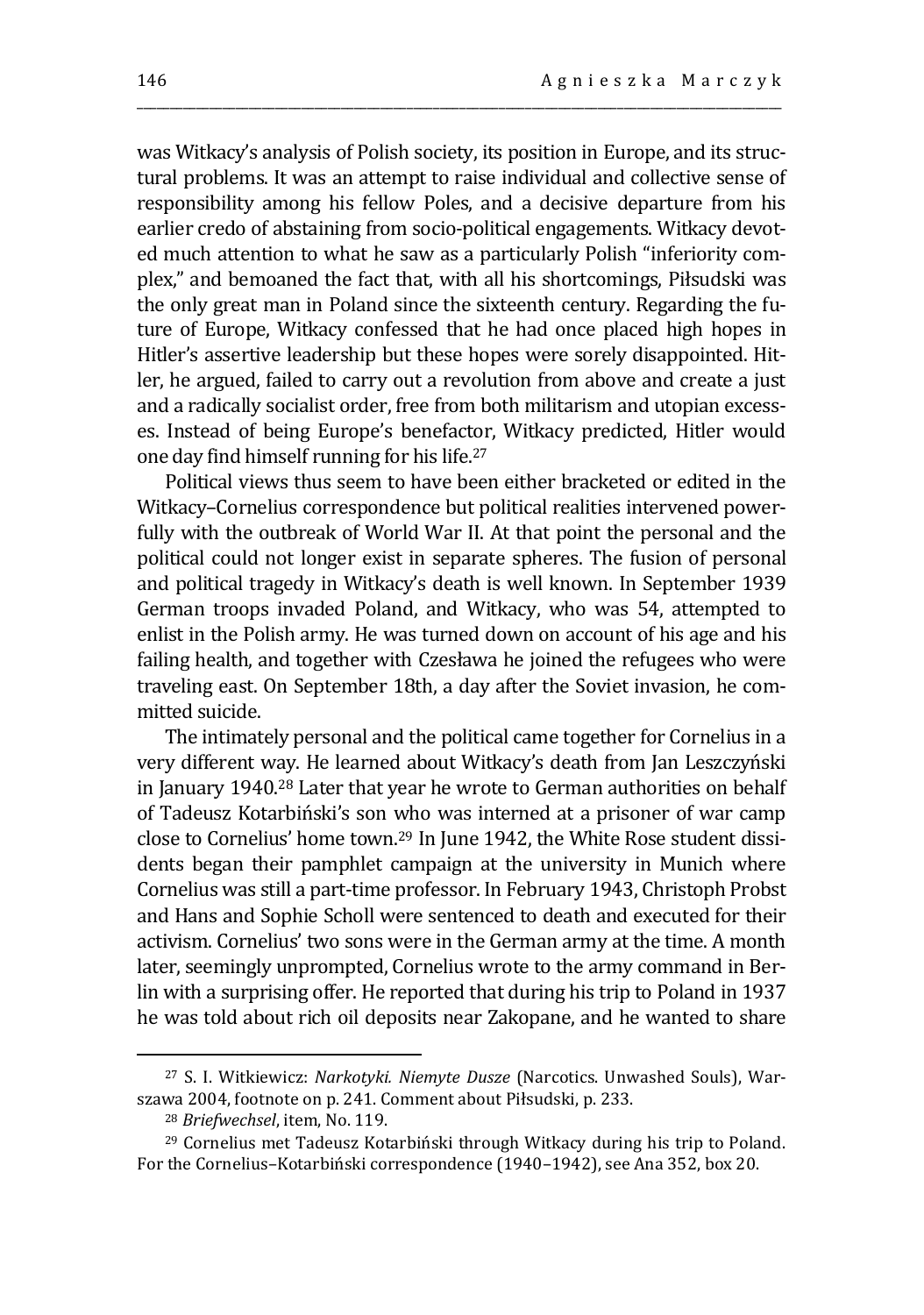was Witkacy's analysis of Polish society, its position in Europe, and its structural problems. It was an attempt to raise individual and collective sense of responsibility among his fellow Poles, and a decisive departure from his earlier credo of abstaining from socio-political engagements. Witkacy devoted much attention to what he saw as a particularly Polish "inferiority complex," and bemoaned the fact that, with all his shortcomings, Piłsudski was the only great man in Poland since the sixteenth century. Regarding the future of Europe, Witkacy confessed that he had once placed high hopes in Hitler's assertive leadership but these hopes were sorely disappointed. Hitler, he argued, failed to carry out a revolution from above and create a just and a radically socialist order, free from both militarism and utopian excesses. Instead of being Europe's benefactor, Witkacy predicted, Hitler would one day find himself running for his life.<sup>27</sup>

\_\_\_\_\_\_\_\_\_\_\_\_\_\_\_\_\_\_\_\_\_\_\_\_\_\_\_\_\_\_\_\_\_\_\_\_\_\_\_\_\_\_\_\_\_\_\_\_\_\_\_\_\_\_\_\_\_\_\_\_\_\_\_\_\_\_\_\_\_\_\_\_\_\_\_\_\_\_\_\_\_\_\_\_\_\_\_\_\_\_\_\_\_\_\_\_\_\_

Political views thus seem to have been either bracketed or edited in the Witkacy–Cornelius correspondence but political realities intervened powerfully with the outbreak of World War II. At that point the personal and the political could not longer exist in separate spheres. The fusion of personal and political tragedy in Witkacy's death is well known. In September 1939 German troops invaded Poland, and Witkacy, who was 54, attempted to enlist in the Polish army. He was turned down on account of his age and his failing health, and together with Czesława he joined the refugees who were traveling east. On September 18th, a day after the Soviet invasion, he committed suicide.

The intimately personal and the political came together for Cornelius in a very different way. He learned about Witkacy's death from Jan Leszczyński in January 1940.<sup>28</sup> Later that year he wrote to German authorities on behalf of Tadeusz Kotarbiński's son who was interned at a prisoner of war camp close to Cornelius' home town.<sup>29</sup> In June 1942, the White Rose student dissidents began their pamphlet campaign at the university in Munich where Cornelius was still a part-time professor. In February 1943, Christoph Probst and Hans and Sophie Scholl were sentenced to death and executed for their activism. Cornelius' two sons were in the German army at the time. A month later, seemingly unprompted, Cornelius wrote to the army command in Berlin with a surprising offer. He reported that during his trip to Poland in 1937 he was told about rich oil deposits near Zakopane, and he wanted to share

<sup>27</sup> S. I. Witkiewicz: *Narkotyki. Niemyte Dusze* (Narcotics. Unwashed Souls), Warszawa 2004, footnote on p. 241. Comment about Piłsudski, p. 233.

<sup>28</sup> *Briefwechsel*, item, No. 119.

<sup>29</sup> Cornelius met Tadeusz Kotarbiński through Witkacy during his trip to Poland. For the Cornelius–Kotarbiński correspondence (1940–1942), see Ana 352, box 20.